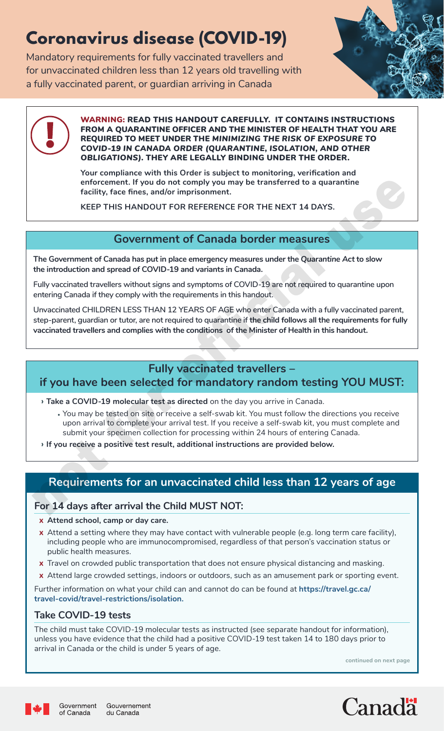# **Coronavirus disease (COVID-19)**

Mandatory requirements for fully vaccinated travellers and for unvaccinated children less than 12 years old travelling with a fully vaccinated parent, or guardian arriving in Canada





WARNING: READ THIS HANDOUT CAREFULLY. IT CONTAINS INSTRUCTIONS FROM A QUARANTINE OFFICER AND THE MINISTER OF HEALTH THAT YOU ARE REQUIRED TO MEET UNDER THE *MINIMIZING THE RISK OF EXPOSURE TO COVID-19 IN CANADA ORDER (QUARANTINE, ISOLATION, AND OTHER OBLIGATIONS)*. THEY ARE LEGALLY BINDING UNDER THE ORDER.

**Your compliance with this Order is subject to monitoring, verification and enforcement. If you do not comply you may be transferred to a quarantine facility, face fines, and/or imprisonment.** 

**KEEP THIS HANDOUT FOR REFERENCE FOR THE NEXT 14 DAYS.** 

## **Government of Canada border measures**

**The Government of Canada has put in place emergency measures under the** *Quarantine Act* **to slow the introduction and spread of COVID-19 and variants in Canada.** 

**Fully vaccinated travellers without signs and symptoms of COVID-19 are not required to quarantine upon entering Canada if they comply with the requirements in this handout.** 

**Unvaccinated CHILDREN LESS THAN 12 YEARS OF AGE who enter Canada with a fully vaccinated parent, step-parent, guardian or tutor, are not required to quarantine if the child follows all the requirements for fully**  enforcement. If you do not comply you may be transferred to a quarantine<br>
facility, face firsts, and/or imprisionment.<br>
KEEP THIS HANDOUT FOR REFERENCE FOR THE NEXT 14 DAYS.<br> **COVERTIMENT OF Canadia border measures**<br>
The G

# **Fully vaccinated travellers –**

# **if you have been selected for mandatory random testing YOU MUST:**

**› Take a COVID-19 molecular test as directed** on the day you arrive in Canada.

- **•** You may be tested on site or receive a self-swab kit. You must follow the directions you receive upon arrival to complete your arrival test. If you receive a self-swab kit, you must complete and submit your specimen collection for processing within 24 hours of entering Canada.
- **› If you receive a positive test result, additional instructions are provided below.**

# **Requirements for an unvaccinated child less than 12 years of age**

### **For 14 days after arrival the Child MUST NOT:**

- **x Attend school, camp or day care.**
- **x** Attend a setting where they may have contact with vulnerable people (e.g. long term care facility), including people who are immunocompromised, regardless of that person's vaccination status or public health measures.
- **x** Travel on crowded public transportation that does not ensure physical distancing and masking.
- **x** Attend large crowded settings, indoors or outdoors, such as an amusement park or sporting event.

Further information on what your child can and cannot do can be found at **[https://travel.gc.ca/](https://travel.gc.ca/travel-covid/travel-restrictions/isolation) [travel-covid/travel-restrictions/isolation.](https://travel.gc.ca/travel-covid/travel-restrictions/isolation)**

### **Take COVID-19 tests**

The child must take COVID-19 molecular tests as instructed (see separate handout for information), unless you have evidence that the child had a positive COVID-19 test taken 14 to 180 days prior to arrival in Canada or the child is under 5 years of age.

**continued on next page**